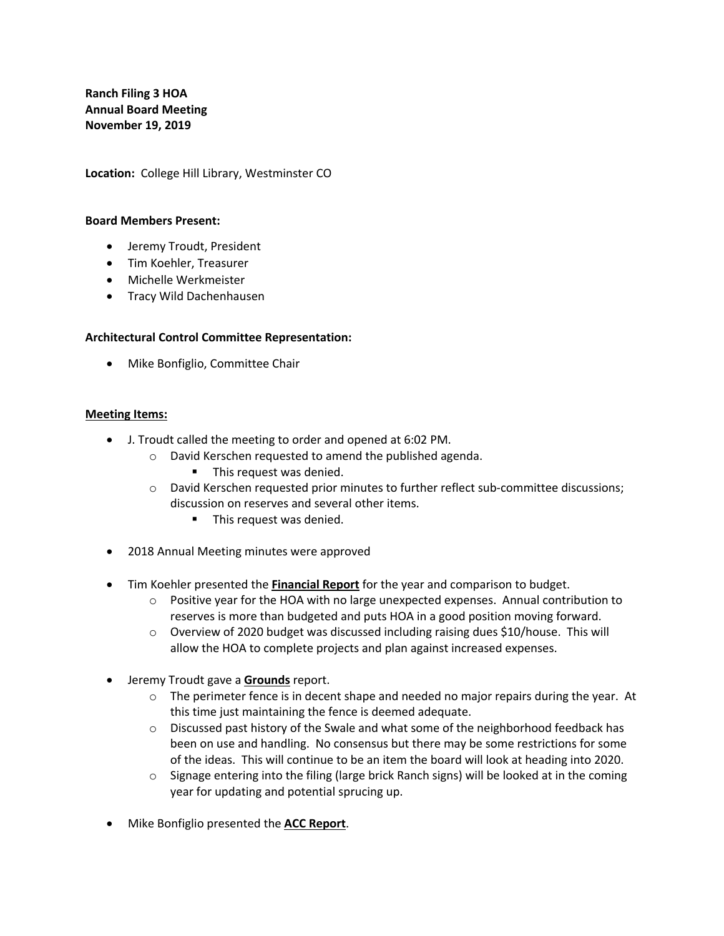**Ranch Filing 3 HOA Annual Board Meeting November 19, 2019**

**Location:** College Hill Library, Westminster CO

## **Board Members Present:**

- Jeremy Troudt, President
- Tim Koehler, Treasurer
- Michelle Werkmeister
- Tracy Wild Dachenhausen

## **Architectural Control Committee Representation:**

• Mike Bonfiglio, Committee Chair

## **Meeting Items:**

- J. Troudt called the meeting to order and opened at 6:02 PM.
	- o David Kerschen requested to amend the published agenda.
		- This request was denied.
	- o David Kerschen requested prior minutes to further reflect sub-committee discussions; discussion on reserves and several other items.
		- **•** This request was denied.
- 2018 Annual Meeting minutes were approved
- Tim Koehler presented the **Financial Report** for the year and comparison to budget.
	- $\circ$  Positive year for the HOA with no large unexpected expenses. Annual contribution to reserves is more than budgeted and puts HOA in a good position moving forward.
	- $\circ$  Overview of 2020 budget was discussed including raising dues \$10/house. This will allow the HOA to complete projects and plan against increased expenses.
- Jeremy Troudt gave a **Grounds** report.
	- $\circ$  The perimeter fence is in decent shape and needed no major repairs during the year. At this time just maintaining the fence is deemed adequate.
	- $\circ$  Discussed past history of the Swale and what some of the neighborhood feedback has been on use and handling. No consensus but there may be some restrictions for some of the ideas. This will continue to be an item the board will look at heading into 2020.
	- $\circ$  Signage entering into the filing (large brick Ranch signs) will be looked at in the coming year for updating and potential sprucing up.
- Mike Bonfiglio presented the **ACC Report**.